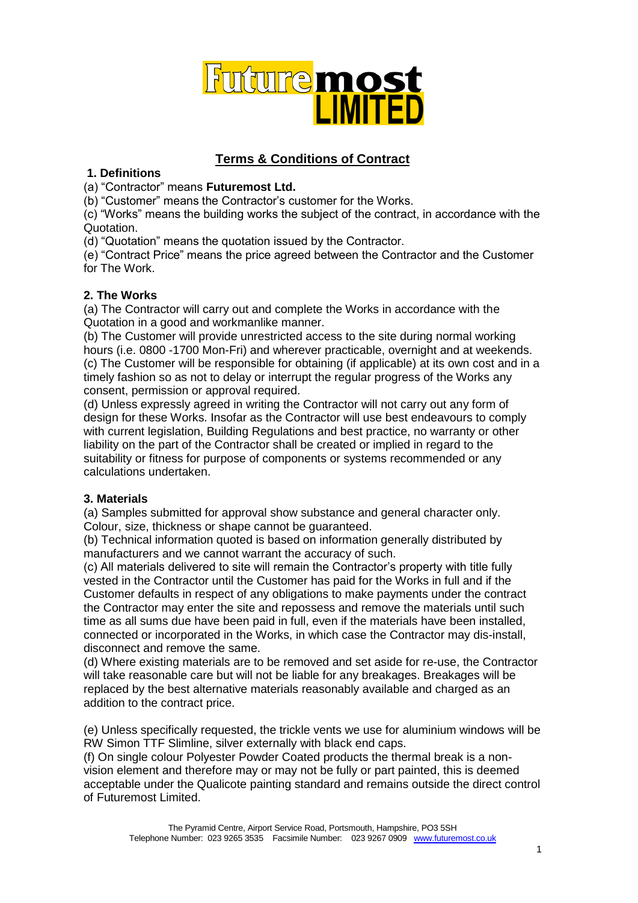

# **Terms & Conditions of Contract**

# **1. Definitions**

(a) "Contractor" means **Futuremost Ltd.** 

(b) "Customer" means the Contractor's customer for the Works.

(c) "Works" means the building works the subject of the contract, in accordance with the Quotation.

(d) "Quotation" means the quotation issued by the Contractor.

(e) "Contract Price" means the price agreed between the Contractor and the Customer for The Work.

# **2. The Works**

(a) The Contractor will carry out and complete the Works in accordance with the Quotation in a good and workmanlike manner.

(b) The Customer will provide unrestricted access to the site during normal working hours (i.e. 0800 -1700 Mon-Fri) and wherever practicable, overnight and at weekends. (c) The Customer will be responsible for obtaining (if applicable) at its own cost and in a timely fashion so as not to delay or interrupt the regular progress of the Works any consent, permission or approval required.

(d) Unless expressly agreed in writing the Contractor will not carry out any form of design for these Works. Insofar as the Contractor will use best endeavours to comply with current legislation, Building Regulations and best practice, no warranty or other liability on the part of the Contractor shall be created or implied in regard to the suitability or fitness for purpose of components or systems recommended or any calculations undertaken.

# **3. Materials**

(a) Samples submitted for approval show substance and general character only. Colour, size, thickness or shape cannot be guaranteed.

(b) Technical information quoted is based on information generally distributed by manufacturers and we cannot warrant the accuracy of such.

(c) All materials delivered to site will remain the Contractor's property with title fully vested in the Contractor until the Customer has paid for the Works in full and if the Customer defaults in respect of any obligations to make payments under the contract the Contractor may enter the site and repossess and remove the materials until such time as all sums due have been paid in full, even if the materials have been installed, connected or incorporated in the Works, in which case the Contractor may dis-install, disconnect and remove the same.

(d) Where existing materials are to be removed and set aside for re-use, the Contractor will take reasonable care but will not be liable for any breakages. Breakages will be replaced by the best alternative materials reasonably available and charged as an addition to the contract price.

(e) Unless specifically requested, the trickle vents we use for aluminium windows will be RW Simon TTF Slimline, silver externally with black end caps.

(f) On single colour Polyester Powder Coated products the thermal break is a nonvision element and therefore may or may not be fully or part painted, this is deemed acceptable under the Qualicote painting standard and remains outside the direct control of Futuremost Limited.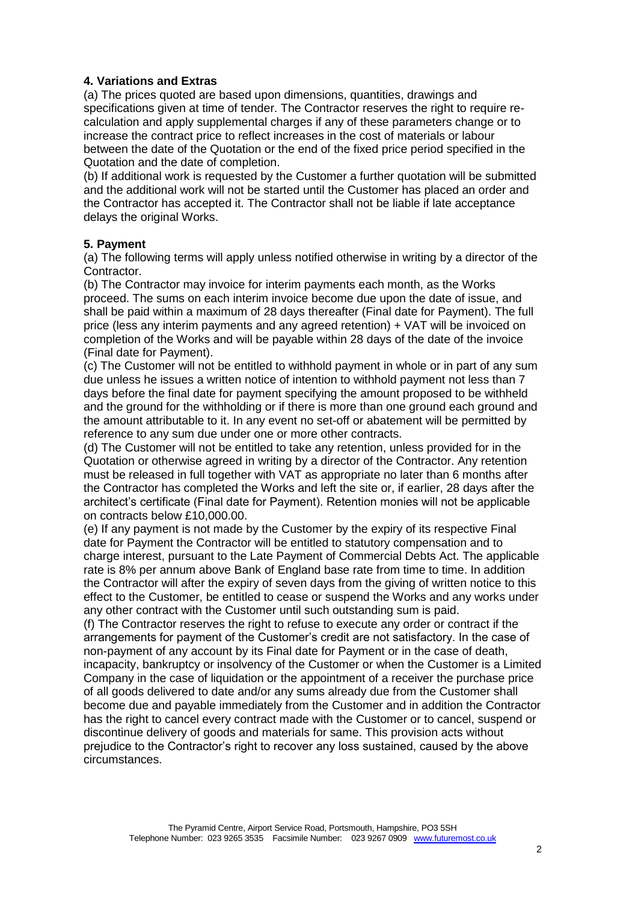# **4. Variations and Extras**

(a) The prices quoted are based upon dimensions, quantities, drawings and specifications given at time of tender. The Contractor reserves the right to require recalculation and apply supplemental charges if any of these parameters change or to increase the contract price to reflect increases in the cost of materials or labour between the date of the Quotation or the end of the fixed price period specified in the Quotation and the date of completion.

(b) If additional work is requested by the Customer a further quotation will be submitted and the additional work will not be started until the Customer has placed an order and the Contractor has accepted it. The Contractor shall not be liable if late acceptance delays the original Works.

# **5. Payment**

(a) The following terms will apply unless notified otherwise in writing by a director of the Contractor.

(b) The Contractor may invoice for interim payments each month, as the Works proceed. The sums on each interim invoice become due upon the date of issue, and shall be paid within a maximum of 28 days thereafter (Final date for Payment). The full price (less any interim payments and any agreed retention) + VAT will be invoiced on completion of the Works and will be payable within 28 days of the date of the invoice (Final date for Payment).

(c) The Customer will not be entitled to withhold payment in whole or in part of any sum due unless he issues a written notice of intention to withhold payment not less than 7 days before the final date for payment specifying the amount proposed to be withheld and the ground for the withholding or if there is more than one ground each ground and the amount attributable to it. In any event no set-off or abatement will be permitted by reference to any sum due under one or more other contracts.

(d) The Customer will not be entitled to take any retention, unless provided for in the Quotation or otherwise agreed in writing by a director of the Contractor. Any retention must be released in full together with VAT as appropriate no later than 6 months after the Contractor has completed the Works and left the site or, if earlier, 28 days after the architect's certificate (Final date for Payment). Retention monies will not be applicable on contracts below £10,000.00.

(e) If any payment is not made by the Customer by the expiry of its respective Final date for Payment the Contractor will be entitled to statutory compensation and to charge interest, pursuant to the Late Payment of Commercial Debts Act. The applicable rate is 8% per annum above Bank of England base rate from time to time. In addition the Contractor will after the expiry of seven days from the giving of written notice to this effect to the Customer, be entitled to cease or suspend the Works and any works under any other contract with the Customer until such outstanding sum is paid.

(f) The Contractor reserves the right to refuse to execute any order or contract if the arrangements for payment of the Customer's credit are not satisfactory. In the case of non-payment of any account by its Final date for Payment or in the case of death, incapacity, bankruptcy or insolvency of the Customer or when the Customer is a Limited Company in the case of liquidation or the appointment of a receiver the purchase price of all goods delivered to date and/or any sums already due from the Customer shall become due and payable immediately from the Customer and in addition the Contractor has the right to cancel every contract made with the Customer or to cancel, suspend or discontinue delivery of goods and materials for same. This provision acts without prejudice to the Contractor's right to recover any loss sustained, caused by the above circumstances.